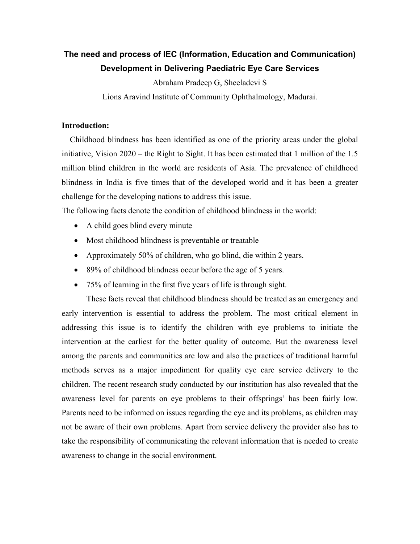# **The need and process of IEC (Information, Education and Communication) Development in Delivering Paediatric Eye Care Services**

Abraham Pradeep G, Sheeladevi S

Lions Aravind Institute of Community Ophthalmology, Madurai.

# **Introduction:**

 Childhood blindness has been identified as one of the priority areas under the global initiative, Vision 2020 – the Right to Sight. It has been estimated that 1 million of the 1.5 million blind children in the world are residents of Asia. The prevalence of childhood blindness in India is five times that of the developed world and it has been a greater challenge for the developing nations to address this issue.

The following facts denote the condition of childhood blindness in the world:

- A child goes blind every minute
- Most childhood blindness is preventable or treatable
- Approximately 50% of children, who go blind, die within 2 years.
- 89% of childhood blindness occur before the age of 5 years.
- 75% of learning in the first five years of life is through sight.

 These facts reveal that childhood blindness should be treated as an emergency and early intervention is essential to address the problem. The most critical element in addressing this issue is to identify the children with eye problems to initiate the intervention at the earliest for the better quality of outcome. But the awareness level among the parents and communities are low and also the practices of traditional harmful methods serves as a major impediment for quality eye care service delivery to the children. The recent research study conducted by our institution has also revealed that the awareness level for parents on eye problems to their offsprings' has been fairly low. Parents need to be informed on issues regarding the eye and its problems, as children may not be aware of their own problems. Apart from service delivery the provider also has to take the responsibility of communicating the relevant information that is needed to create awareness to change in the social environment.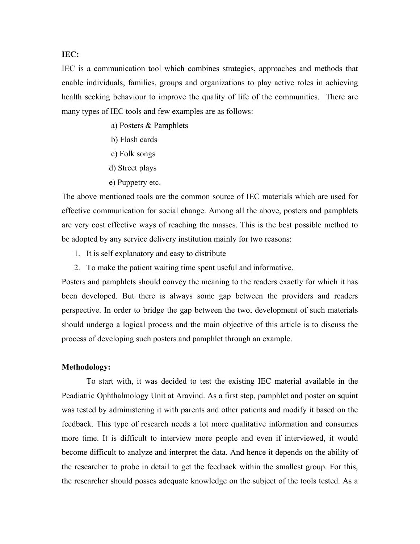### **IEC:**

IEC is a communication tool which combines strategies, approaches and methods that enable individuals, families, groups and organizations to play active roles in achieving health seeking behaviour to improve the quality of life of the communities. There are many types of IEC tools and few examples are as follows:

- a) Posters & Pamphlets
- b) Flash cards
- c) Folk songs
- d) Street plays
- e) Puppetry etc.

The above mentioned tools are the common source of IEC materials which are used for effective communication for social change. Among all the above, posters and pamphlets are very cost effective ways of reaching the masses. This is the best possible method to be adopted by any service delivery institution mainly for two reasons:

- 1. It is self explanatory and easy to distribute
- 2. To make the patient waiting time spent useful and informative.

Posters and pamphlets should convey the meaning to the readers exactly for which it has been developed. But there is always some gap between the providers and readers perspective. In order to bridge the gap between the two, development of such materials should undergo a logical process and the main objective of this article is to discuss the process of developing such posters and pamphlet through an example.

# **Methodology:**

To start with, it was decided to test the existing IEC material available in the Peadiatric Ophthalmology Unit at Aravind. As a first step, pamphlet and poster on squint was tested by administering it with parents and other patients and modify it based on the feedback. This type of research needs a lot more qualitative information and consumes more time. It is difficult to interview more people and even if interviewed, it would become difficult to analyze and interpret the data. And hence it depends on the ability of the researcher to probe in detail to get the feedback within the smallest group. For this, the researcher should posses adequate knowledge on the subject of the tools tested. As a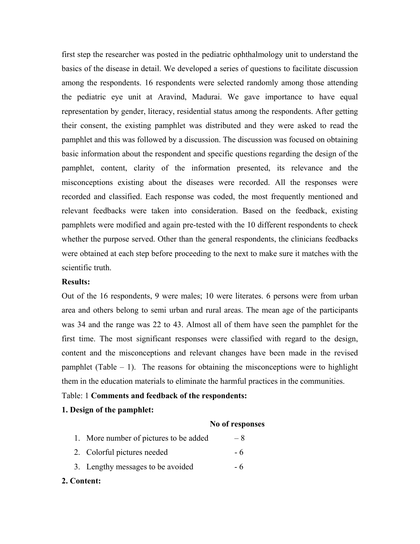first step the researcher was posted in the pediatric ophthalmology unit to understand the basics of the disease in detail. We developed a series of questions to facilitate discussion among the respondents. 16 respondents were selected randomly among those attending the pediatric eye unit at Aravind, Madurai. We gave importance to have equal representation by gender, literacy, residential status among the respondents. After getting their consent, the existing pamphlet was distributed and they were asked to read the pamphlet and this was followed by a discussion. The discussion was focused on obtaining basic information about the respondent and specific questions regarding the design of the pamphlet, content, clarity of the information presented, its relevance and the misconceptions existing about the diseases were recorded. All the responses were recorded and classified. Each response was coded, the most frequently mentioned and relevant feedbacks were taken into consideration. Based on the feedback, existing pamphlets were modified and again pre-tested with the 10 different respondents to check whether the purpose served. Other than the general respondents, the clinicians feedbacks were obtained at each step before proceeding to the next to make sure it matches with the scientific truth.

#### **Results:**

Out of the 16 respondents, 9 were males; 10 were literates. 6 persons were from urban area and others belong to semi urban and rural areas. The mean age of the participants was 34 and the range was 22 to 43. Almost all of them have seen the pamphlet for the first time. The most significant responses were classified with regard to the design, content and the misconceptions and relevant changes have been made in the revised pamphlet (Table  $-1$ ). The reasons for obtaining the misconceptions were to highlight them in the education materials to eliminate the harmful practices in the communities.

### Table: 1 **Comments and feedback of the respondents:**

# **1. Design of the pamphlet:**

#### **No of responses**

| 1. More number of pictures to be added | $-8$ |
|----------------------------------------|------|
| 2. Colorful pictures needed            | - 6  |
| 3. Lengthy messages to be avoided      | - 6  |

#### **2. Content:**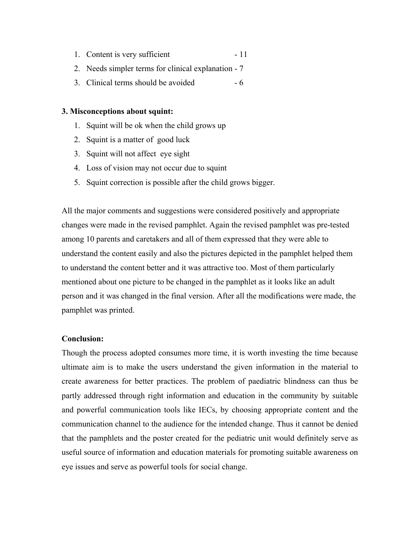- 1. Content is very sufficient 11
- 2. Needs simpler terms for clinical explanation 7
- 3. Clinical terms should be avoided 6

#### **3. Misconceptions about squint:**

- 1. Squint will be ok when the child grows up
- 2. Squint is a matter of good luck
- 3. Squint will not affect eye sight
- 4. Loss of vision may not occur due to squint
- 5. Squint correction is possible after the child grows bigger.

All the major comments and suggestions were considered positively and appropriate changes were made in the revised pamphlet. Again the revised pamphlet was pre-tested among 10 parents and caretakers and all of them expressed that they were able to understand the content easily and also the pictures depicted in the pamphlet helped them to understand the content better and it was attractive too. Most of them particularly mentioned about one picture to be changed in the pamphlet as it looks like an adult person and it was changed in the final version. After all the modifications were made, the pamphlet was printed.

# **Conclusion:**

Though the process adopted consumes more time, it is worth investing the time because ultimate aim is to make the users understand the given information in the material to create awareness for better practices. The problem of paediatric blindness can thus be partly addressed through right information and education in the community by suitable and powerful communication tools like IECs, by choosing appropriate content and the communication channel to the audience for the intended change. Thus it cannot be denied that the pamphlets and the poster created for the pediatric unit would definitely serve as useful source of information and education materials for promoting suitable awareness on eye issues and serve as powerful tools for social change.